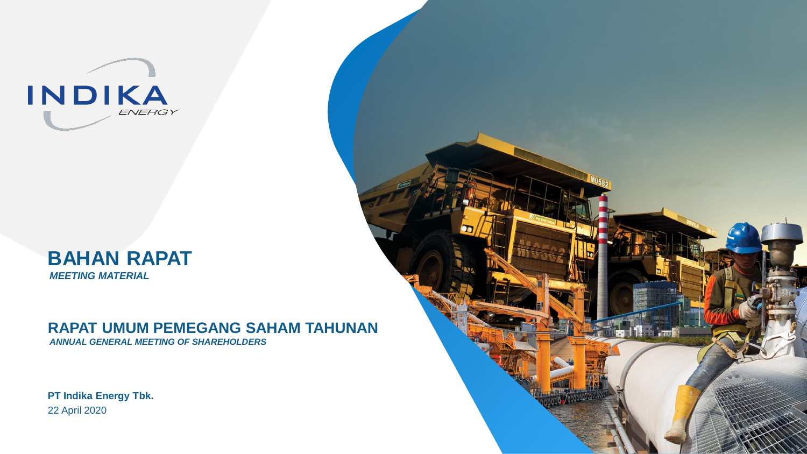



### **RAPAT UMUM PEMEGANG SAHAM TAHUNAN**

*ANNUAL GENERAL MEETING OF SHAREHOLDERS*

**PT Indika Energy Tbk.**  22 April 2020

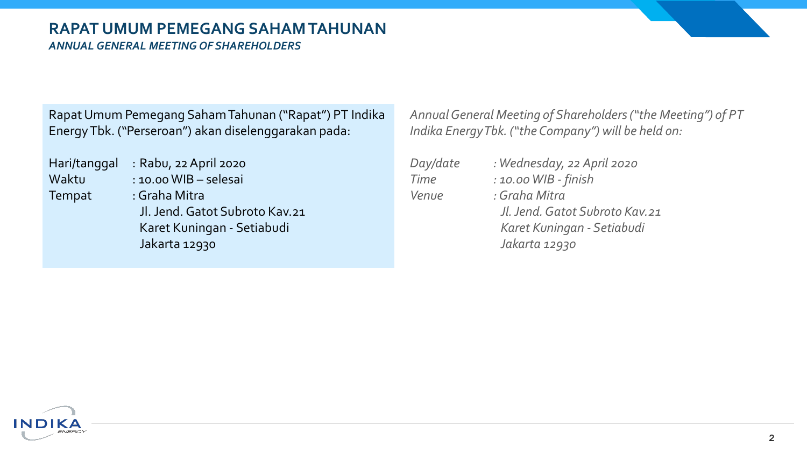### **RAPAT UMUM PEMEGANG SAHAM TAHUNAN** *ANNUAL GENERAL MEETING OF SHAREHOLDERS*

Rapat Umum Pemegang SahamTahunan ("Rapat") PT Indika Energy Tbk. ("Perseroan") akan diselenggarakan pada:

Hari/tanggal : Rabu, 22 April 2020 Tempat : Graha Mitra

Waktu : 10.00 WIB – selesai Jl. Jend. Gatot Subroto Kav.21 Karet Kuningan - Setiabudi Jakarta 12930

*Annual General Meeting of Shareholders ("the Meeting") of PT Indika Energy Tbk. ("the Company") will be held on:*

| Day/date | : Wednesday, 22 April 2020     |
|----------|--------------------------------|
| Time     | : 10.00 WIB - finish           |
| Venue    | : Graha Mitra                  |
|          | Jl. Jend. Gatot Subroto Kav.21 |
|          | Karet Kuningan - Setiabudi     |
|          | Jakarta 12930                  |

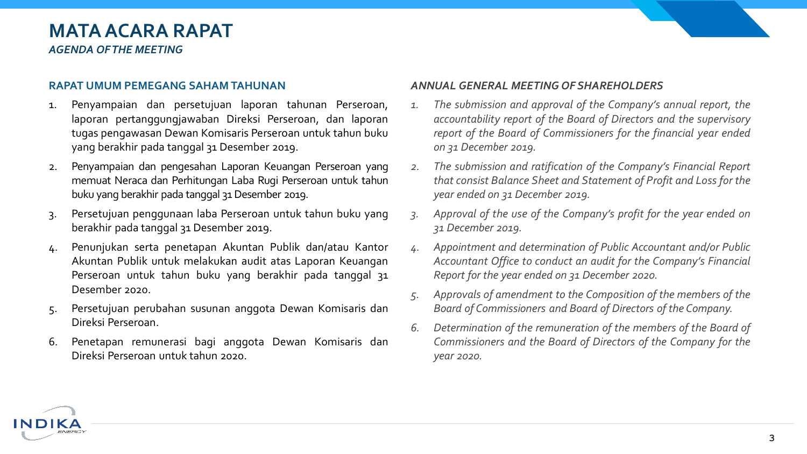### **MATA ACARA RAPAT** *AGENDA OF THE MEETING*

#### **RAPAT UMUM PEMEGANG SAHAM TAHUNAN**

- 1. Penyampaian dan persetujuan laporan tahunan Perseroan, laporan pertanggungjawaban Direksi Perseroan, dan laporan tugas pengawasan Dewan Komisaris Perseroan untuk tahun buku yang berakhir pada tanggal 31 Desember 2019.
- 2. Penyampaian dan pengesahan Laporan Keuangan Perseroan yang memuat Neraca dan Perhitungan Laba Rugi Perseroan untuk tahun buku yang berakhir pada tanggal 31Desember 2019.
- 3. Persetujuan penggunaan laba Perseroan untuk tahun buku yang berakhir pada tanggal 31 Desember 2019.
- 4. Penunjukan serta penetapan Akuntan Publik dan/atau Kantor Akuntan Publik untuk melakukan audit atas Laporan Keuangan Perseroan untuk tahun buku yang berakhir pada tanggal 31 Desember 2020.
- 5. Persetujuan perubahan susunan anggota Dewan Komisaris dan Direksi Perseroan.
- 6. Penetapan remunerasi bagi anggota Dewan Komisaris dan Direksi Perseroan untuk tahun 2020.

#### *ANNUAL GENERAL MEETING OF SHAREHOLDERS*

- *1. The submission and approval of the Company's annual report, the accountability report of the Board of Directors and the supervisory report of the Board of Commissioners for the financial year ended on 31 December 2019.*
- *2. The submission and ratification of the Company's Financial Report that consist Balance Sheet and Statement of Profit and Loss for the year ended on 31 December 2019.*
- *3. Approval of the use of the Company's profit for the year ended on 31 December 2019.*
- *4. Appointment and determination of Public Accountant and/or Public Accountant Office to conduct an audit for the Company's Financial Report for the year ended on 31 December 2020.*
- *5. Approvals of amendment to the Composition of the members of the Board of Commissioners and Board of Directors of the Company.*
- *6. Determination of the remuneration of the members of the Board of Commissioners and the Board of Directors of the Company for the year 2020.*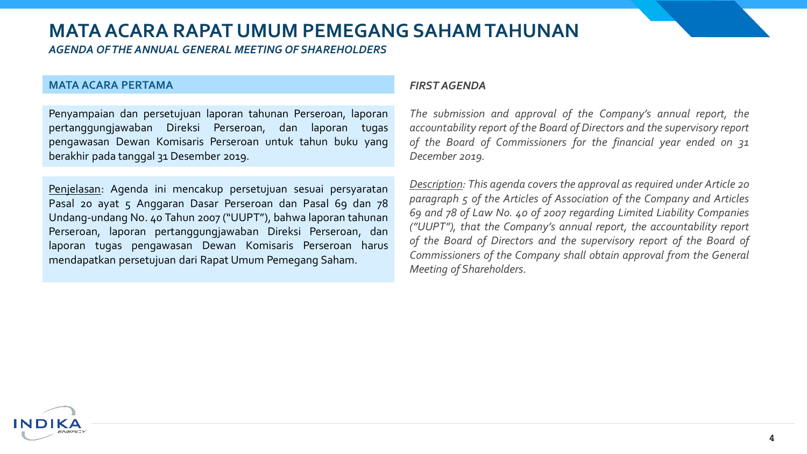*AGENDA OF THE ANNUAL GENERAL MEETING OF SHAREHOLDERS* 

#### **MATA ACARA PERTAMA**

ND

Penyampaian dan persetujuan laporan tahunan Perseroan, laporan pertanggungjawaban Direksi Perseroan, dan laporan tugas pengawasan Dewan Komisaris Perseroan untuk tahun buku yang berakhir pada tanggal 31 Desember 2019.

Penjelasan: Agenda ini mencakup persetujuan sesuai persyaratan Pasal 20 ayat 5 Anggaran Dasar Perseroan dan Pasal 69 dan 78 Undang-undang No. 40 Tahun 2007 ("UUPT"), bahwa laporan tahunan Perseroan, laporan pertanggungjawaban Direksi Perseroan, dan laporan tugas pengawasan Dewan Komisaris Perseroan harus mendapatkan persetujuan dari Rapat Umum Pemegang Saham.

#### *FIRST AGENDA*

*The submission and approval of the Company's annual report, the accountability report of the Board of Directors and the supervisory report of the Board of Commissioners for the financial year ended on 31 December 2019.*

*Description: This agenda covers the approval as required under Article 20 paragraph 5 of the Articles of Association of the Company and Articles 69 and 78 of Law No. 40 of 2007 regarding Limited Liability Companies ("UUPT"), that the Company's annual report, the accountability report of the Board of Directors and the supervisory report of the Board of Commissioners of the Company shall obtain approval from the General Meeting of Shareholders.*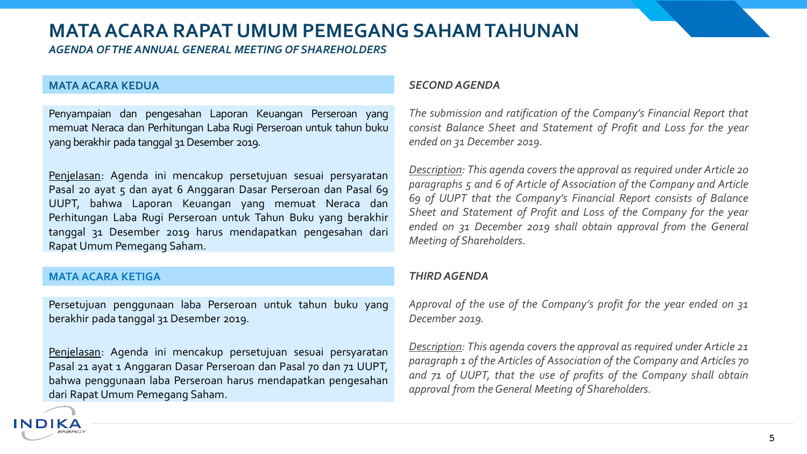*AGENDA OF THE ANNUAL GENERAL MEETING OF SHAREHOLDERS* 

#### **MATA ACARA KEDUA**

Penyampaian dan pengesahan Laporan Keuangan Perseroan yang memuat Neraca dan Perhitungan Laba Rugi Perseroan untuk tahun buku yang berakhir pada tanggal 31Desember 2019.

Penjelasan: Agenda ini mencakup persetujuan sesuai persyaratan Pasal 20 ayat 5 dan ayat 6 Anggaran Dasar Perseroan dan Pasal 69 UUPT, bahwa Laporan Keuangan yang memuat Neraca dan Perhitungan Laba Rugi Perseroan untuk Tahun Buku yang berakhir tanggal 31 Desember 2019 harus mendapatkan pengesahan dari Rapat Umum Pemegang Saham.

#### **MATA ACARA KETIGA**

INDI

Persetujuan penggunaan laba Perseroan untuk tahun buku yang berakhir pada tanggal 31 Desember 2019.

Penjelasan: Agenda ini mencakup persetujuan sesuai persyaratan Pasal 21 ayat 1 Anggaran Dasar Perseroan dan Pasal 70 dan 71 UUPT, bahwa penggunaan laba Perseroan harus mendapatkan pengesahan dari Rapat Umum Pemegang Saham.

#### *SECOND AGENDA*

*The submission and ratification of the Company's Financial Report that consist Balance Sheet and Statement of Profit and Loss for the year ended on 31 December 2019.*

*Description: This agenda covers the approval as required under Article 20 paragraphs 5 and 6 of Article of Association of the Company and Article 69 of UUPT that the Company's Financial Report consists of Balance Sheet and Statement of Profit and Loss of the Company for the year ended on 31 December 2019 shall obtain approval from the General Meeting of Shareholders.*

#### *THIRD AGENDA*

*Approval of the use of the Company's profit for the year ended on 31 December 2019.*

*Description: This agenda covers the approval as required under Article 21 paragraph 1 of the Articles of Association of the Company and Articles 70 and 71 of UUPT, that the use of profits of the Company shall obtain approval from theGeneral Meeting of Shareholders.*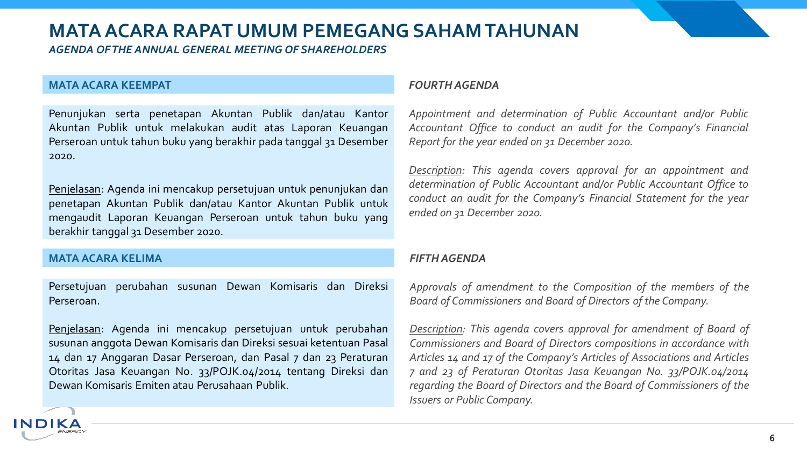*AGENDA OF THE ANNUAL GENERAL MEETING OF SHAREHOLDERS* 

#### **MATA ACARA KEEMPAT**

Penunjukan serta penetapan Akuntan Publik dan/atau Kantor Akuntan Publik untuk melakukan audit atas Laporan Keuangan Perseroan untuk tahun buku yang berakhir pada tanggal 31 Desember 2020.

Penjelasan: Agenda ini mencakup persetujuan untuk penunjukan dan penetapan Akuntan Publik dan/atau Kantor Akuntan Publik untuk mengaudit Laporan Keuangan Perseroan untuk tahun buku yang berakhir tanggal 31 Desember 2020.

#### **MATA ACARA KELIMA**

IND

Persetujuan perubahan susunan Dewan Komisaris dan Direksi Perseroan.

Penjelasan: Agenda ini mencakup persetujuan untuk perubahan susunan anggota Dewan Komisaris dan Direksi sesuai ketentuan Pasal 14 dan 17 Anggaran Dasar Perseroan, dan Pasal 7 dan 23 Peraturan Otoritas Jasa Keuangan No. 33/POJK.04/2014 tentang Direksi dan Dewan Komisaris Emiten atau Perusahaan Publik.

#### *FOURTH AGENDA*

*Appointment and determination of Public Accountant and/or Public Accountant Office to conduct an audit for the Company's Financial Report for the year ended on 31 December 2020.*

*Description: This agenda covers approval for an appointment and determination of Public Accountant and/or Public Accountant Office to conduct an audit for the Company's Financial Statement for the year ended on 31 December 2020.*

#### *FIFTH AGENDA*

*Approvals of amendment to the Composition of the members of the Board of Commissioners and Board of Directors of the Company.*

*Description: This agenda covers approval for amendment of Board of Commissioners and Board of Directors compositions in accordance with Articles 14 and 17 of the Company's Articles of Associations and Articles 7 and 23 of Peraturan Otoritas Jasa Keuangan No. 33/POJK.04/2014 regarding the Board of Directors and the Board of Commissioners of the Issuers or Public Company.*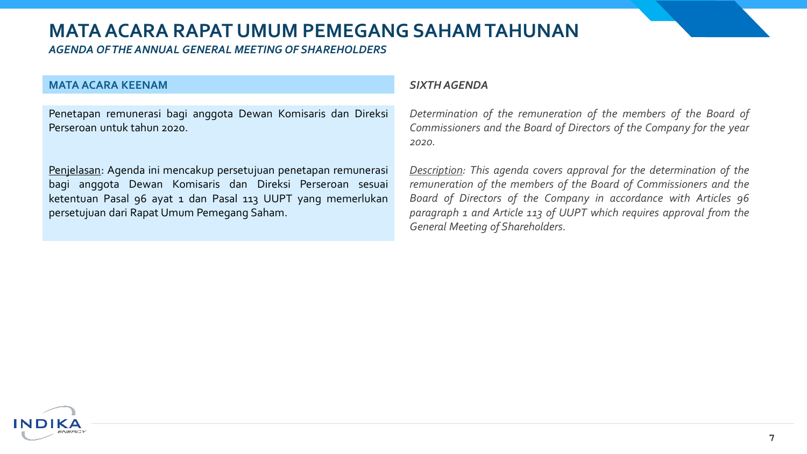*AGENDA OF THE ANNUAL GENERAL MEETING OF SHAREHOLDERS* 

#### **MATA ACARA KEENAM**

Penetapan remunerasi bagi anggota Dewan Komisaris dan Direksi Perseroan untuk tahun 2020.

Penjelasan: Agenda ini mencakup persetujuan penetapan remunerasi bagi anggota Dewan Komisaris dan Direksi Perseroan sesuai ketentuan Pasal 96 ayat 1 dan Pasal 113 UUPT yang memerlukan persetujuan dari Rapat Umum Pemegang Saham.

#### *SIXTH AGENDA*

*Determination of the remuneration of the members of the Board of Commissioners and the Board of Directors of the Company for the year 2020.*

*Description: This agenda covers approval for the determination of the remuneration of the members of the Board of Commissioners and the Board of Directors of the Company in accordance with Articles 96 paragraph 1 and Article 113 of UUPT which requires approval from the General Meeting of Shareholders.*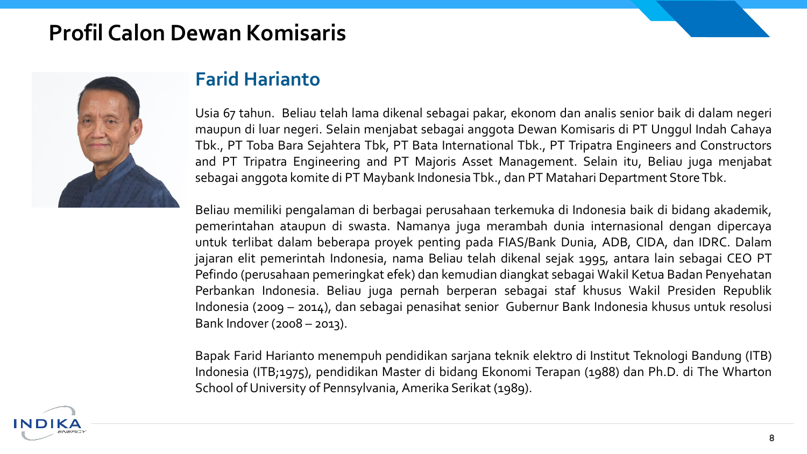# **Profil Calon Dewan Komisaris**



### **Farid Harianto**

Usia 67 tahun. Beliau telah lama dikenal sebagai pakar, ekonom dan analis senior baik di dalam negeri maupun di luar negeri. Selain menjabat sebagai anggota Dewan Komisaris di PT Unggul Indah Cahaya Tbk., PT Toba Bara Sejahtera Tbk, PT Bata International Tbk., PT Tripatra Engineers and Constructors and PT Tripatra Engineering and PT Majoris Asset Management. Selain itu, Beliau juga menjabat sebagai anggota komite di PT Maybank IndonesiaTbk., dan PT Matahari Department StoreTbk.

Beliau memiliki pengalaman di berbagai perusahaan terkemuka di Indonesia baik di bidang akademik, pemerintahan ataupun di swasta. Namanya juga merambah dunia internasional dengan dipercaya untuk terlibat dalam beberapa proyek penting pada FIAS/Bank Dunia, ADB, CIDA, dan IDRC. Dalam jajaran elit pemerintah Indonesia, nama Beliau telah dikenal sejak 1995, antara lain sebagai CEO PT Pefindo (perusahaan pemeringkat efek) dan kemudian diangkat sebagai Wakil Ketua Badan Penyehatan Perbankan Indonesia. Beliau juga pernah berperan sebagai staf khusus Wakil Presiden Republik Indonesia (2009 – 2014), dan sebagai penasihat senior Gubernur Bank Indonesia khusus untuk resolusi Bank Indover (2008 – 2013).

Bapak Farid Harianto menempuh pendidikan sarjana teknik elektro di Institut Teknologi Bandung (ITB) Indonesia (ITB;1975), pendidikan Master di bidang Ekonomi Terapan (1988) dan Ph.D. di The Wharton School of University of Pennsylvania, Amerika Serikat (1989).

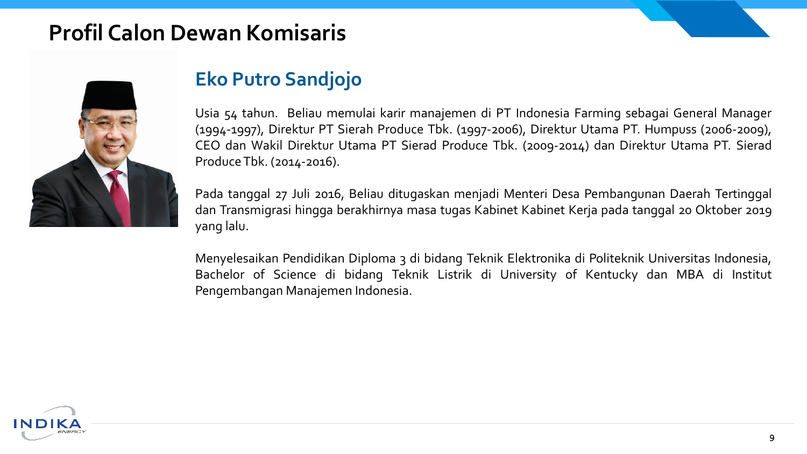# **Profil Calon Dewan Komisaris**



## **Eko Putro Sandjojo**

Usia 54 tahun. Beliau memulai karir manajemen di PT Indonesia Farming sebagai General Manager (1994-1997), Direktur PT Sierah Produce Tbk. (1997-2006), Direktur Utama PT. Humpuss (2006-2009), CEO dan Wakil Direktur Utama PT Sierad Produce Tbk. (2009-2014) dan Direktur Utama PT. Sierad ProduceTbk. (2014-2016).

Pada tanggal 27 Juli 2016, Beliau ditugaskan menjadi Menteri Desa Pembangunan Daerah Tertinggal dan Transmigrasi hingga berakhirnya masa tugas Kabinet Kabinet Kerja pada tanggal 20 Oktober 2019 yang lalu.

Menyelesaikan Pendidikan Diploma 3 di bidang Teknik Elektronika di Politeknik Universitas Indonesia, Bachelor of Science di bidang Teknik Listrik di University of Kentucky dan MBA di Institut Pengembangan Manajemen Indonesia.

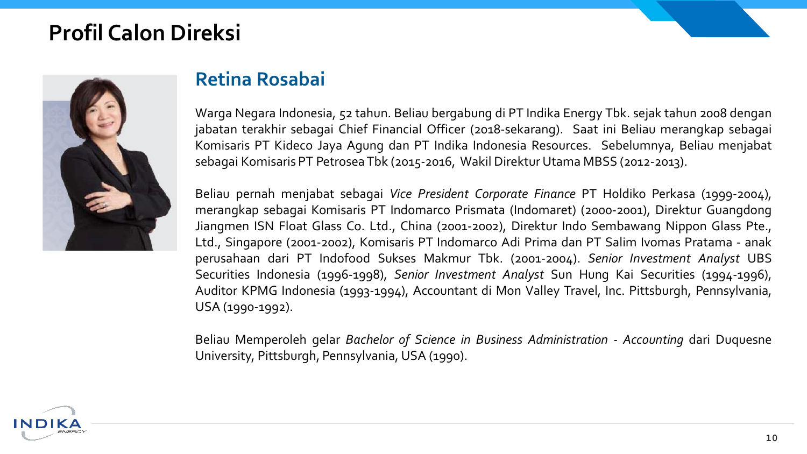# **Profil Calon Direksi**



### **Retina Rosabai**

Warga Negara Indonesia, 52 tahun. Beliau bergabung di PT Indika Energy Tbk. sejak tahun 2008 dengan jabatan terakhir sebagai Chief Financial Officer (2018-sekarang). Saat ini Beliau merangkap sebagai Komisaris PT Kideco Jaya Agung dan PT Indika Indonesia Resources. Sebelumnya, Beliau menjabat sebagai Komisaris PT Petrosea Tbk (2015-2016, Wakil Direktur Utama MBSS (2012-2013).

Beliau pernah menjabat sebagai *Vice President Corporate Finance* PT Holdiko Perkasa (1999-2004), merangkap sebagai Komisaris PT Indomarco Prismata (Indomaret) (2000-2001), Direktur Guangdong Jiangmen ISN Float Glass Co. Ltd., China (2001-2002), Direktur Indo Sembawang Nippon Glass Pte., Ltd., Singapore (2001-2002), Komisaris PT Indomarco Adi Prima dan PT Salim Ivomas Pratama - anak perusahaan dari PT Indofood Sukses Makmur Tbk. (2001-2004). *Senior Investment Analyst* UBS Securities Indonesia (1996-1998), *Senior Investment Analyst* Sun Hung Kai Securities (1994-1996), Auditor KPMG Indonesia (1993-1994), Accountant di Mon Valley Travel, Inc. Pittsburgh, Pennsylvania, USA (1990-1992).

Beliau Memperoleh gelar *Bachelor of Science in Business Administration - Accounting* dari Duquesne University, Pittsburgh, Pennsylvania, USA (1990).

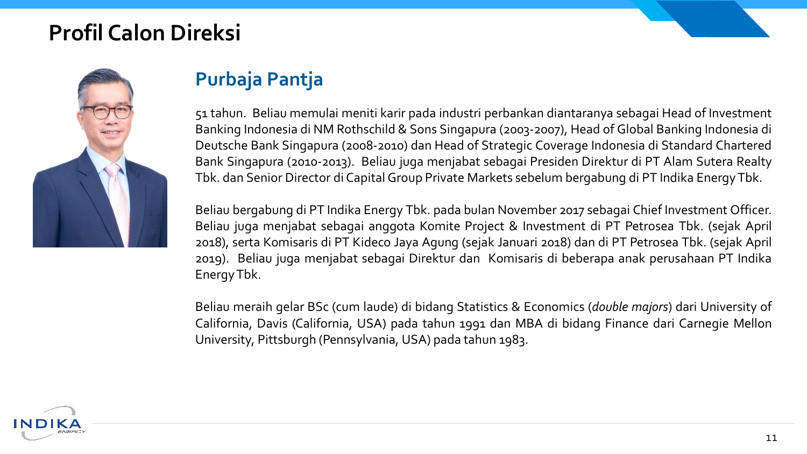# **Profil Calon Direksi**



## **Purbaja Pantja**

51 tahun. Beliau memulai meniti karir pada industri perbankan diantaranya sebagai Head of Investment Banking Indonesia di NM Rothschild & Sons Singapura (2003-2007), Head of Global Banking Indonesia di Deutsche Bank Singapura (2008-2010) dan Head of Strategic Coverage Indonesia di Standard Chartered Bank Singapura (2010-2013). Beliau juga menjabat sebagai Presiden Direktur di PT Alam Sutera Realty Tbk. dan Senior Director di Capital Group Private Markets sebelum bergabung di PT Indika Energy Tbk.

Beliau bergabung di PT Indika Energy Tbk. pada bulan November 2017 sebagai Chief Investment Officer. Beliau juga menjabat sebagai anggota Komite Project & Investment di PT Petrosea Tbk. (sejak April 2018), serta Komisaris di PT Kideco Jaya Agung (sejak Januari 2018) dan di PT Petrosea Tbk. (sejak April 2019). Beliau juga menjabat sebagai Direktur dan Komisaris di beberapa anak perusahaan PT Indika EnergyTbk.

Beliau meraih gelar BSc (cum laude) di bidang Statistics & Economics (*double majors*) dari University of California, Davis (California, USA) pada tahun 1991 dan MBA di bidang Finance dari Carnegie Mellon University, Pittsburgh (Pennsylvania, USA) pada tahun 1983.